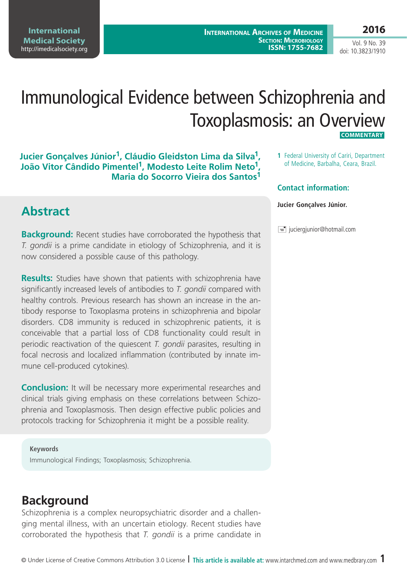**International Medical Society**  <http://imedicalsociety.org>

**International Archives of Medicine Section: Microbiology ISSN: 1755-7682** **2016**

Vol. 9 No. 39 doi: 10.3823/1910

# Immunological Evidence between Schizophrenia and Toxoplasmosis: an Overview  **Commentary**

#### **Jucier Gonçalves Júnior1, Cláudio Gleidston Lima da Silva1, João Vitor Cândido Pimentel1, Modesto Leite Rolim Neto1, Maria do Socorro Vieira dos Santos1**

### **Abstract**

**Background:** Recent studies have corroborated the hypothesis that *T. gondii* is a prime candidate in etiology of Schizophrenia, and it is now considered a possible cause of this pathology.

**Results:** Studies have shown that patients with schizophrenia have significantly increased levels of antibodies to *T. gondii* compared with healthy controls. Previous research has shown an increase in the antibody response to Toxoplasma proteins in schizophrenia and bipolar disorders. CD8 immunity is reduced in schizophrenic patients, it is conceivable that a partial loss of CD8 functionality could result in periodic reactivation of the quiescent *T. gondii* parasites, resulting in focal necrosis and localized inflammation (contributed by innate immune cell-produced cytokines).

**Conclusion:** It will be necessary more experimental researches and clinical trials giving emphasis on these correlations between Schizophrenia and Toxoplasmosis. Then design effective public policies and protocols tracking for Schizophrenia it might be a possible reality.

**Keywords** Immunological Findings; Toxoplasmosis; Schizophrenia.

#### **Background**

Schizophrenia is a complex neuropsychiatric disorder and a challenging mental illness, with an uncertain etiology. Recent studies have corroborated the hypothesis that *T. gondii* is a prime candidate in **1** Federal University of Cariri, Department of Medicine, Barbalha, Ceara, Brazil.

#### **Contact information:**

#### **Jucier Gonçalves Júnior.**

 $\equiv$  juciergjunior@hotmail.com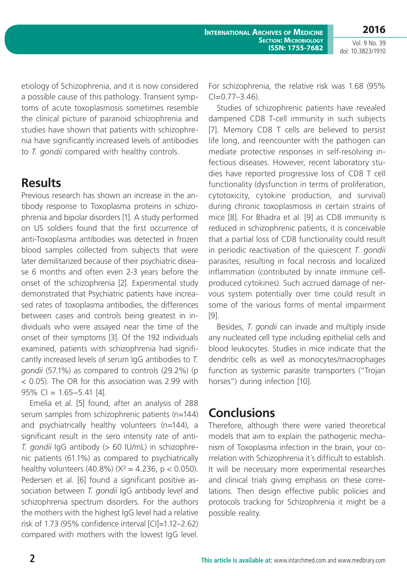**International Archives of Medicine SECTION: MICROBIOLOGY ISSN: 1755-7682**

**2016** Vol. 9 No. 39

doi: 10.3823/1910

etiology of Schizophrenia, and it is now considered a possible cause of this pathology. Transient symptoms of acute toxoplasmosis sometimes resemble the clinical picture of paranoid schizophrenia and studies have shown that patients with schizophrenia have significantly increased levels of antibodies to *T. gondii* compared with healthy controls.

### **Results**

Previous research has shown an increase in the antibody response to Toxoplasma proteins in schizophrenia and bipolar disorders [1]. A study performed on US soldiers found that the first occurrence of anti-Toxoplasma antibodies was detected in frozen blood samples collected from subjects that were later demilitarized because of their psychiatric disease 6 months and often even 2-3 years before the onset of the schizophrenia [2]. Experimental study demonstrated that Psychiatric patients have increased rates of toxoplasma antibodies, the differences between cases and controls being greatest in individuals who were assayed near the time of the onset of their symptoms [3]. Of the 192 individuals examined, patients with schizophrenia had significantly increased levels of serum IgG antibodies to *T. gondii* (57.1%) as compared to controls (29.2%) (p < 0.05). The OR for this association was 2.99 with 95% CI = 1.65−5.41 [4].

Emelia et al. [5] found, after an analysis of 288 serum samples from schizophrenic patients (n=144) and psychiatrically healthy volunteers (n=144), a significant result in the sero intensity rate of anti-*T. gondii* IgG antibody (> 60 IU/mL) in schizophrenic patients (61.1%) as compared to psychiatrically healthy volunteers (40.8%) ( $X^2 = 4.236$ ,  $p < 0.050$ ). Pedersen et al. [6] found a significant positive association between *T. gondii* IgG antibody level and schizophrenia spectrum disorders. For the authors the mothers with the highest IgG level had a relative risk of 1.73 (95% confidence interval [CI]=1.12–2.62) compared with mothers with the lowest IgG level. For schizophrenia, the relative risk was 1.68 (95%  $C = 0.77 - 3.46$ .

Studies of schizophrenic patients have revealed dampened CD8 T-cell immunity in such subjects [7]. Memory CD8 T cells are believed to persist life long, and reencounter with the pathogen can mediate protective responses in self-resolving infectious diseases. However, recent laboratory studies have reported progressive loss of CD8 T cell functionality (dysfunction in terms of proliferation, cytotoxicity, cytokine production, and survival) during chronic toxoplasmosis in certain strains of mice [8]. For Bhadra et al. [9] as CD8 immunity is reduced in schizophrenic patients, it is conceivable that a partial loss of CD8 functionality could result in periodic reactivation of the quiescent *T. gondii*  parasites, resulting in focal necrosis and localized inflammation (contributed by innate immune cellproduced cytokines). Such accrued damage of nervous system potentially over time could result in some of the various forms of mental impairment [9].

Besides, *T. gondii* can invade and multiply inside any nucleated cell type including epithelial cells and blood leukocytes. Studies in mice indicate that the dendritic cells as well as monocytes/macrophages function as systemic parasite transporters ("Trojan horses") during infection [10].

#### **Conclusions**

Therefore, although there were varied theoretical models that aim to explain the pathogenic mechanism of Toxoplasma infection in the brain, your correlation with Schizophrenia it´s difficult to establish. It will be necessary more experimental researches and clinical trials giving emphasis on these correlations. Then design effective public policies and protocols tracking for Schizophrenia it might be a possible reality.